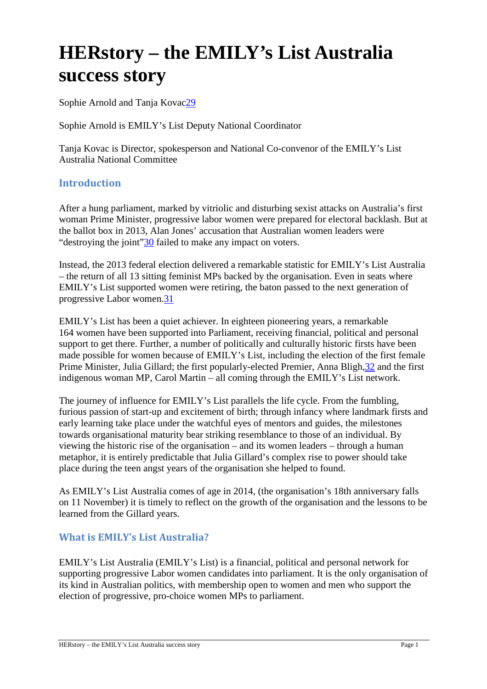# **HERstory – the EMILY's List Australia success story**

Sophie Arnold and Tanja Kovac29

Sophie Arnold is EMILY's List Deputy National Coordinator

Tanja Kovac is Director, spokesperson and National Co-convenor of the EMILY's List Australia National Committee

# **Introduction**

After a hung parliament, marked by vitriolic and disturbing sexist attacks on Australia's first woman Prime Minister, progressive labor women were prepared for electoral backlash. But at the ballot box in 2013, Alan Jones' accusation that Australian women leaders were "destroying the joint"30 failed to make any impact on voters.

Instead, the 2013 federal election delivered a remarkable statistic for EMILY's List Australia – the return of all 13 sitting feminist MPs backed by the organisation. Even in seats where EMILY's List supported women were retiring, the baton passed to the next generation of progressive Labor women.31

EMILY's List has been a quiet achiever. In eighteen pioneering years, a remarkable 164 women have been supported into Parliament, receiving financial, political and personal support to get there. Further, a number of politically and culturally historic firsts have been made possible for women because of EMILY's List, including the election of the first female Prime Minister, Julia Gillard; the first popularly-elected Premier, Anna Bligh,32 and the first indigenous woman MP, Carol Martin – all coming through the EMILY's List network.

The journey of influence for EMILY's List parallels the life cycle. From the fumbling, furious passion of start-up and excitement of birth; through infancy where landmark firsts and early learning take place under the watchful eyes of mentors and guides, the milestones towards organisational maturity bear striking resemblance to those of an individual. By viewing the historic rise of the organisation – and its women leaders – through a human metaphor, it is entirely predictable that Julia Gillard's complex rise to power should take place during the teen angst years of the organisation she helped to found.

As EMILY's List Australia comes of age in 2014, (the organisation's 18th anniversary falls on 11 November) it is timely to reflect on the growth of the organisation and the lessons to be learned from the Gillard years.

# **What is EMILY's List Australia?**

EMILY's List Australia (EMILY's List) is a financial, political and personal network for supporting progressive Labor women candidates into parliament. It is the only organisation of its kind in Australian politics, with membership open to women and men who support the election of progressive, pro-choice women MPs to parliament.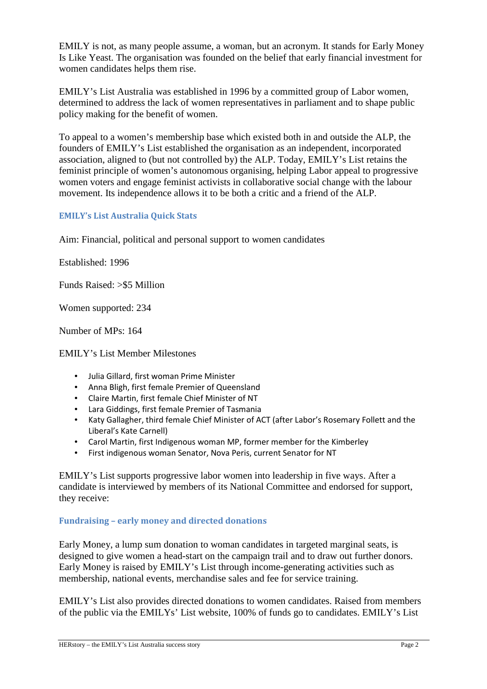EMILY is not, as many people assume, a woman, but an acronym. It stands for Early Money Is Like Yeast. The organisation was founded on the belief that early financial investment for women candidates helps them rise.

EMILY's List Australia was established in 1996 by a committed group of Labor women, determined to address the lack of women representatives in parliament and to shape public policy making for the benefit of women.

To appeal to a women's membership base which existed both in and outside the ALP, the founders of EMILY's List established the organisation as an independent, incorporated association, aligned to (but not controlled by) the ALP. Today, EMILY's List retains the feminist principle of women's autonomous organising, helping Labor appeal to progressive women voters and engage feminist activists in collaborative social change with the labour movement. Its independence allows it to be both a critic and a friend of the ALP.

## **EMILY's List Australia Quick Stats**

Aim: Financial, political and personal support to women candidates

Established: 1996

Funds Raised: >\$5 Million

Women supported: 234

Number of MPs: 164

EMILY's List Member Milestones

- Julia Gillard, first woman Prime Minister
- Anna Bligh, first female Premier of Queensland
- Claire Martin, first female Chief Minister of NT
- Lara Giddings, first female Premier of Tasmania
- Katy Gallagher, third female Chief Minister of ACT (after Labor's Rosemary Follett and the Liberal's Kate Carnell)
- Carol Martin, first Indigenous woman MP, former member for the Kimberley
- First indigenous woman Senator, Nova Peris, current Senator for NT

EMILY's List supports progressive labor women into leadership in five ways. After a candidate is interviewed by members of its National Committee and endorsed for support, they receive:

## **Fundraising – early money and directed donations**

Early Money, a lump sum donation to woman candidates in targeted marginal seats, is designed to give women a head-start on the campaign trail and to draw out further donors. Early Money is raised by EMILY's List through income-generating activities such as membership, national events, merchandise sales and fee for service training.

EMILY's List also provides directed donations to women candidates. Raised from members of the public via the EMILYs' List website, 100% of funds go to candidates. EMILY's List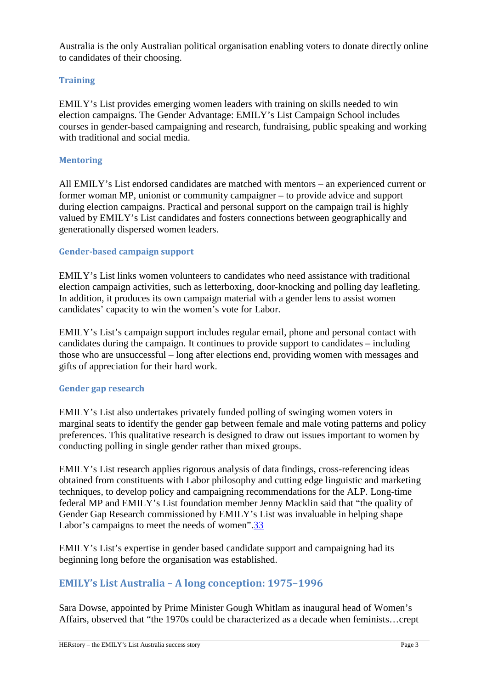Australia is the only Australian political organisation enabling voters to donate directly online to candidates of their choosing.

# **Training**

EMILY's List provides emerging women leaders with training on skills needed to win election campaigns. The Gender Advantage: EMILY's List Campaign School includes courses in gender-based campaigning and research, fundraising, public speaking and working with traditional and social media.

## **Mentoring**

All EMILY's List endorsed candidates are matched with mentors – an experienced current or former woman MP, unionist or community campaigner – to provide advice and support during election campaigns. Practical and personal support on the campaign trail is highly valued by EMILY's List candidates and fosters connections between geographically and generationally dispersed women leaders.

# **Gender-based campaign support**

EMILY's List links women volunteers to candidates who need assistance with traditional election campaign activities, such as letterboxing, door-knocking and polling day leafleting. In addition, it produces its own campaign material with a gender lens to assist women candidates' capacity to win the women's vote for Labor.

EMILY's List's campaign support includes regular email, phone and personal contact with candidates during the campaign. It continues to provide support to candidates – including those who are unsuccessful – long after elections end, providing women with messages and gifts of appreciation for their hard work.

## **Gender gap research**

EMILY's List also undertakes privately funded polling of swinging women voters in marginal seats to identify the gender gap between female and male voting patterns and policy preferences. This qualitative research is designed to draw out issues important to women by conducting polling in single gender rather than mixed groups.

EMILY's List research applies rigorous analysis of data findings, cross-referencing ideas obtained from constituents with Labor philosophy and cutting edge linguistic and marketing techniques, to develop policy and campaigning recommendations for the ALP. Long-time federal MP and EMILY's List foundation member Jenny Macklin said that "the quality of Gender Gap Research commissioned by EMILY's List was invaluable in helping shape Labor's campaigns to meet the needs of women".33

EMILY's List's expertise in gender based candidate support and campaigning had its beginning long before the organisation was established.

# **EMILY's List Australia – A long conception: 1975–1996**

Sara Dowse, appointed by Prime Minister Gough Whitlam as inaugural head of Women's Affairs, observed that "the 1970s could be characterized as a decade when feminists…crept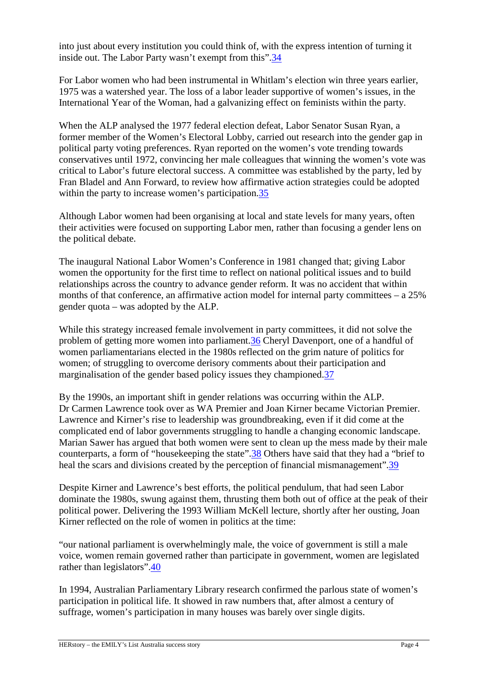into just about every institution you could think of, with the express intention of turning it inside out. The Labor Party wasn't exempt from this".34

For Labor women who had been instrumental in Whitlam's election win three years earlier, 1975 was a watershed year. The loss of a labor leader supportive of women's issues, in the International Year of the Woman, had a galvanizing effect on feminists within the party.

When the ALP analysed the 1977 federal election defeat, Labor Senator Susan Ryan, a former member of the Women's Electoral Lobby, carried out research into the gender gap in political party voting preferences. Ryan reported on the women's vote trending towards conservatives until 1972, convincing her male colleagues that winning the women's vote was critical to Labor's future electoral success. A committee was established by the party, led by Fran Bladel and Ann Forward, to review how affirmative action strategies could be adopted within the party to increase women's participation.35

Although Labor women had been organising at local and state levels for many years, often their activities were focused on supporting Labor men, rather than focusing a gender lens on the political debate.

The inaugural National Labor Women's Conference in 1981 changed that; giving Labor women the opportunity for the first time to reflect on national political issues and to build relationships across the country to advance gender reform. It was no accident that within months of that conference, an affirmative action model for internal party committees – a 25% gender quota – was adopted by the ALP.

While this strategy increased female involvement in party committees, it did not solve the problem of getting more women into parliament.36 Cheryl Davenport, one of a handful of women parliamentarians elected in the 1980s reflected on the grim nature of politics for women; of struggling to overcome derisory comments about their participation and marginalisation of the gender based policy issues they championed.37

By the 1990s, an important shift in gender relations was occurring within the ALP. Dr Carmen Lawrence took over as WA Premier and Joan Kirner became Victorian Premier. Lawrence and Kirner's rise to leadership was groundbreaking, even if it did come at the complicated end of labor governments struggling to handle a changing economic landscape. Marian Sawer has argued that both women were sent to clean up the mess made by their male counterparts, a form of "housekeeping the state".38 Others have said that they had a "brief to heal the scars and divisions created by the perception of financial mismanagement".39

Despite Kirner and Lawrence's best efforts, the political pendulum, that had seen Labor dominate the 1980s, swung against them, thrusting them both out of office at the peak of their political power. Delivering the 1993 William McKell lecture, shortly after her ousting, Joan Kirner reflected on the role of women in politics at the time:

"our national parliament is overwhelmingly male, the voice of government is still a male voice, women remain governed rather than participate in government, women are legislated rather than legislators".40

In 1994, Australian Parliamentary Library research confirmed the parlous state of women's participation in political life. It showed in raw numbers that, after almost a century of suffrage, women's participation in many houses was barely over single digits.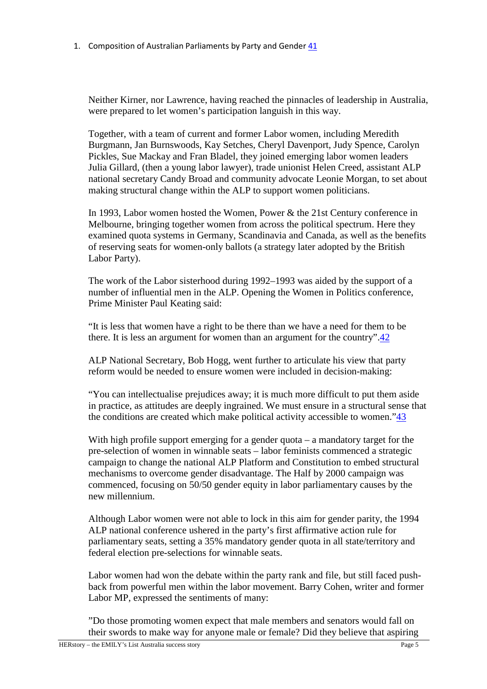1. Composition of Australian Parliaments by Party and Gender 41

Neither Kirner, nor Lawrence, having reached the pinnacles of leadership in Australia, were prepared to let women's participation languish in this way.

Together, with a team of current and former Labor women, including Meredith Burgmann, Jan Burnswoods, Kay Setches, Cheryl Davenport, Judy Spence, Carolyn Pickles, Sue Mackay and Fran Bladel, they joined emerging labor women leaders Julia Gillard, (then a young labor lawyer), trade unionist Helen Creed, assistant ALP national secretary Candy Broad and community advocate Leonie Morgan, to set about making structural change within the ALP to support women politicians.

In 1993, Labor women hosted the Women, Power & the 21st Century conference in Melbourne, bringing together women from across the political spectrum. Here they examined quota systems in Germany, Scandinavia and Canada, as well as the benefits of reserving seats for women-only ballots (a strategy later adopted by the British Labor Party).

The work of the Labor sisterhood during 1992–1993 was aided by the support of a number of influential men in the ALP. Opening the Women in Politics conference, Prime Minister Paul Keating said:

"It is less that women have a right to be there than we have a need for them to be there. It is less an argument for women than an argument for the country".42

ALP National Secretary, Bob Hogg, went further to articulate his view that party reform would be needed to ensure women were included in decision-making:

"You can intellectualise prejudices away; it is much more difficult to put them aside in practice, as attitudes are deeply ingrained. We must ensure in a structural sense that the conditions are created which make political activity accessible to women."43

With high profile support emerging for a gender quota – a mandatory target for the pre-selection of women in winnable seats – labor feminists commenced a strategic campaign to change the national ALP Platform and Constitution to embed structural mechanisms to overcome gender disadvantage. The Half by 2000 campaign was commenced, focusing on 50/50 gender equity in labor parliamentary causes by the new millennium.

Although Labor women were not able to lock in this aim for gender parity, the 1994 ALP national conference ushered in the party's first affirmative action rule for parliamentary seats, setting a 35% mandatory gender quota in all state/territory and federal election pre-selections for winnable seats.

Labor women had won the debate within the party rank and file, but still faced pushback from powerful men within the labor movement. Barry Cohen, writer and former Labor MP, expressed the sentiments of many:

"Do those promoting women expect that male members and senators would fall on their swords to make way for anyone male or female? Did they believe that aspiring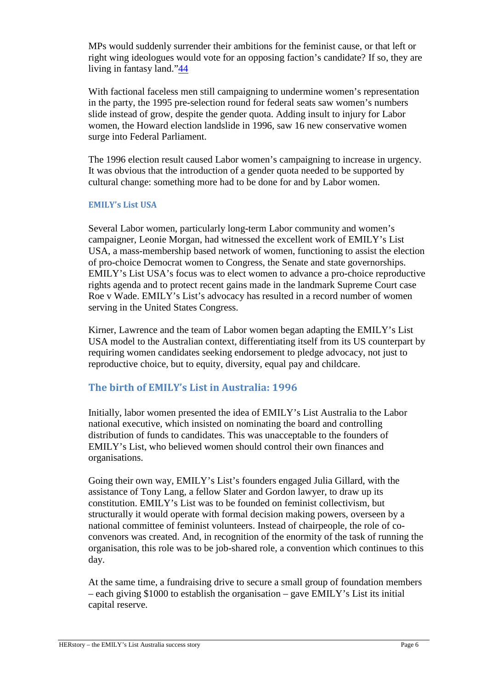MPs would suddenly surrender their ambitions for the feminist cause, or that left or right wing ideologues would vote for an opposing faction's candidate? If so, they are living in fantasy land."44

With factional faceless men still campaigning to undermine women's representation in the party, the 1995 pre-selection round for federal seats saw women's numbers slide instead of grow, despite the gender quota. Adding insult to injury for Labor women, the Howard election landslide in 1996, saw 16 new conservative women surge into Federal Parliament.

The 1996 election result caused Labor women's campaigning to increase in urgency. It was obvious that the introduction of a gender quota needed to be supported by cultural change: something more had to be done for and by Labor women.

#### **EMILY's List USA**

Several Labor women, particularly long-term Labor community and women's campaigner, Leonie Morgan, had witnessed the excellent work of EMILY's List USA, a mass-membership based network of women, functioning to assist the election of pro-choice Democrat women to Congress, the Senate and state governorships. EMILY's List USA's focus was to elect women to advance a pro-choice reproductive rights agenda and to protect recent gains made in the landmark Supreme Court case Roe v Wade. EMILY's List's advocacy has resulted in a record number of women serving in the United States Congress.

Kirner, Lawrence and the team of Labor women began adapting the EMILY's List USA model to the Australian context, differentiating itself from its US counterpart by requiring women candidates seeking endorsement to pledge advocacy, not just to reproductive choice, but to equity, diversity, equal pay and childcare.

# **The birth of EMILY's List in Australia: 1996**

Initially, labor women presented the idea of EMILY's List Australia to the Labor national executive, which insisted on nominating the board and controlling distribution of funds to candidates. This was unacceptable to the founders of EMILY's List, who believed women should control their own finances and organisations.

Going their own way, EMILY's List's founders engaged Julia Gillard, with the assistance of Tony Lang, a fellow Slater and Gordon lawyer, to draw up its constitution. EMILY's List was to be founded on feminist collectivism, but structurally it would operate with formal decision making powers, overseen by a national committee of feminist volunteers. Instead of chairpeople, the role of coconvenors was created. And, in recognition of the enormity of the task of running the organisation, this role was to be job-shared role, a convention which continues to this day.

At the same time, a fundraising drive to secure a small group of foundation members – each giving \$1000 to establish the organisation – gave EMILY's List its initial capital reserve.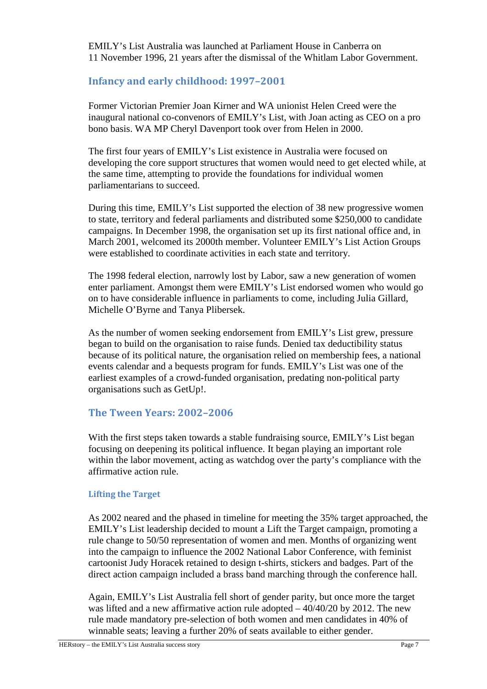EMILY's List Australia was launched at Parliament House in Canberra on 11 November 1996, 21 years after the dismissal of the Whitlam Labor Government.

# **Infancy and early childhood: 1997–2001**

Former Victorian Premier Joan Kirner and WA unionist Helen Creed were the inaugural national co-convenors of EMILY's List, with Joan acting as CEO on a pro bono basis. WA MP Cheryl Davenport took over from Helen in 2000.

The first four years of EMILY's List existence in Australia were focused on developing the core support structures that women would need to get elected while, at the same time, attempting to provide the foundations for individual women parliamentarians to succeed.

During this time, EMILY's List supported the election of 38 new progressive women to state, territory and federal parliaments and distributed some \$250,000 to candidate campaigns. In December 1998, the organisation set up its first national office and, in March 2001, welcomed its 2000th member. Volunteer EMILY's List Action Groups were established to coordinate activities in each state and territory.

The 1998 federal election, narrowly lost by Labor, saw a new generation of women enter parliament. Amongst them were EMILY's List endorsed women who would go on to have considerable influence in parliaments to come, including Julia Gillard, Michelle O'Byrne and Tanya Plibersek.

As the number of women seeking endorsement from EMILY's List grew, pressure began to build on the organisation to raise funds. Denied tax deductibility status because of its political nature, the organisation relied on membership fees, a national events calendar and a bequests program for funds. EMILY's List was one of the earliest examples of a crowd-funded organisation, predating non-political party organisations such as GetUp!.

# **The Tween Years: 2002–2006**

With the first steps taken towards a stable fundraising source, EMILY's List began focusing on deepening its political influence. It began playing an important role within the labor movement, acting as watchdog over the party's compliance with the affirmative action rule.

## **Lifting the Target**

As 2002 neared and the phased in timeline for meeting the 35% target approached, the EMILY's List leadership decided to mount a Lift the Target campaign, promoting a rule change to 50/50 representation of women and men. Months of organizing went into the campaign to influence the 2002 National Labor Conference, with feminist cartoonist Judy Horacek retained to design t-shirts, stickers and badges. Part of the direct action campaign included a brass band marching through the conference hall.

Again, EMILY's List Australia fell short of gender parity, but once more the target was lifted and a new affirmative action rule adopted  $-40/40/20$  by 2012. The new rule made mandatory pre-selection of both women and men candidates in 40% of winnable seats; leaving a further 20% of seats available to either gender.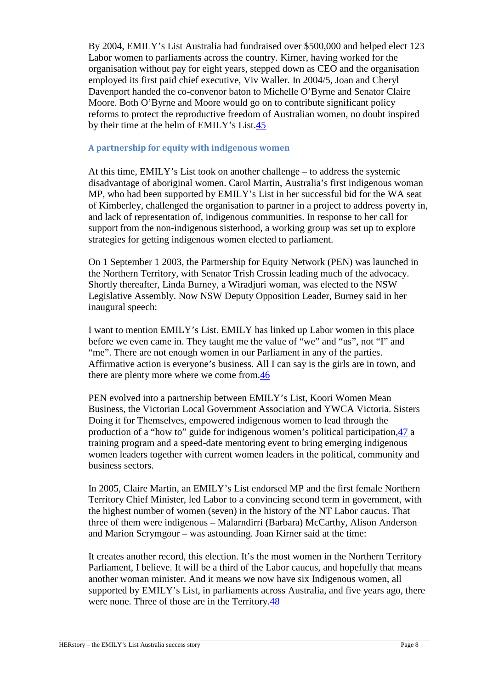By 2004, EMILY's List Australia had fundraised over \$500,000 and helped elect 123 Labor women to parliaments across the country. Kirner, having worked for the organisation without pay for eight years, stepped down as CEO and the organisation employed its first paid chief executive, Viv Waller. In 2004/5, Joan and Cheryl Davenport handed the co-convenor baton to Michelle O'Byrne and Senator Claire Moore. Both O'Byrne and Moore would go on to contribute significant policy reforms to protect the reproductive freedom of Australian women, no doubt inspired by their time at the helm of EMILY's List.45

## **A partnership for equity with indigenous women**

At this time, EMILY's List took on another challenge – to address the systemic disadvantage of aboriginal women. Carol Martin, Australia's first indigenous woman MP, who had been supported by EMILY's List in her successful bid for the WA seat of Kimberley, challenged the organisation to partner in a project to address poverty in, and lack of representation of, indigenous communities. In response to her call for support from the non-indigenous sisterhood, a working group was set up to explore strategies for getting indigenous women elected to parliament.

On 1 September 1 2003, the Partnership for Equity Network (PEN) was launched in the Northern Territory, with Senator Trish Crossin leading much of the advocacy. Shortly thereafter, Linda Burney, a Wiradjuri woman, was elected to the NSW Legislative Assembly. Now NSW Deputy Opposition Leader, Burney said in her inaugural speech:

I want to mention EMILY's List. EMILY has linked up Labor women in this place before we even came in. They taught me the value of "we" and "us", not "I" and "me". There are not enough women in our Parliament in any of the parties. Affirmative action is everyone's business. All I can say is the girls are in town, and there are plenty more where we come from.46

PEN evolved into a partnership between EMILY's List, Koori Women Mean Business, the Victorian Local Government Association and YWCA Victoria. Sisters Doing it for Themselves, empowered indigenous women to lead through the production of a "how to" guide for indigenous women's political participation,47 a training program and a speed-date mentoring event to bring emerging indigenous women leaders together with current women leaders in the political, community and business sectors.

In 2005, Claire Martin, an EMILY's List endorsed MP and the first female Northern Territory Chief Minister, led Labor to a convincing second term in government, with the highest number of women (seven) in the history of the NT Labor caucus. That three of them were indigenous – Malarndirri (Barbara) McCarthy, Alison Anderson and Marion Scrymgour – was astounding. Joan Kirner said at the time:

It creates another record, this election. It's the most women in the Northern Territory Parliament, I believe. It will be a third of the Labor caucus, and hopefully that means another woman minister. And it means we now have six Indigenous women, all supported by EMILY's List, in parliaments across Australia, and five years ago, there were none. Three of those are in the Territory.48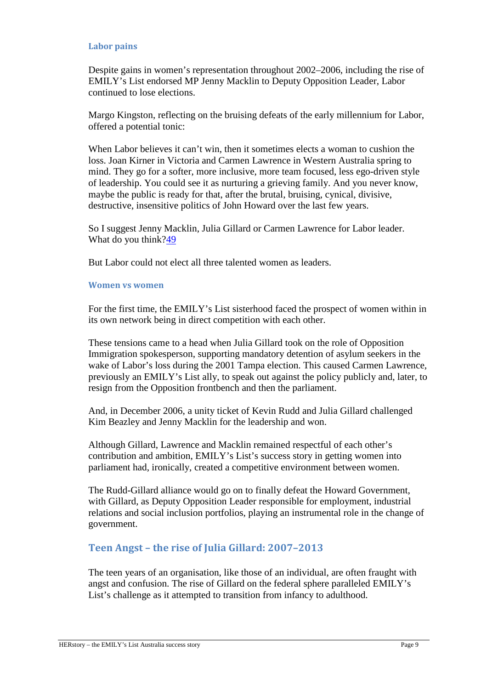#### **Labor pains**

Despite gains in women's representation throughout 2002–2006, including the rise of EMILY's List endorsed MP Jenny Macklin to Deputy Opposition Leader, Labor continued to lose elections.

Margo Kingston, reflecting on the bruising defeats of the early millennium for Labor, offered a potential tonic:

When Labor believes it can't win, then it sometimes elects a woman to cushion the loss. Joan Kirner in Victoria and Carmen Lawrence in Western Australia spring to mind. They go for a softer, more inclusive, more team focused, less ego-driven style of leadership. You could see it as nurturing a grieving family. And you never know, maybe the public is ready for that, after the brutal, bruising, cynical, divisive, destructive, insensitive politics of John Howard over the last few years.

So I suggest Jenny Macklin, Julia Gillard or Carmen Lawrence for Labor leader. What do you think?49

But Labor could not elect all three talented women as leaders.

#### **Women vs women**

For the first time, the EMILY's List sisterhood faced the prospect of women within in its own network being in direct competition with each other.

These tensions came to a head when Julia Gillard took on the role of Opposition Immigration spokesperson, supporting mandatory detention of asylum seekers in the wake of Labor's loss during the 2001 Tampa election. This caused Carmen Lawrence, previously an EMILY's List ally, to speak out against the policy publicly and, later, to resign from the Opposition frontbench and then the parliament.

And, in December 2006, a unity ticket of Kevin Rudd and Julia Gillard challenged Kim Beazley and Jenny Macklin for the leadership and won.

Although Gillard, Lawrence and Macklin remained respectful of each other's contribution and ambition, EMILY's List's success story in getting women into parliament had, ironically, created a competitive environment between women.

The Rudd-Gillard alliance would go on to finally defeat the Howard Government, with Gillard, as Deputy Opposition Leader responsible for employment, industrial relations and social inclusion portfolios, playing an instrumental role in the change of government.

# **Teen Angst – the rise of Julia Gillard: 2007–2013**

The teen years of an organisation, like those of an individual, are often fraught with angst and confusion. The rise of Gillard on the federal sphere paralleled EMILY's List's challenge as it attempted to transition from infancy to adulthood.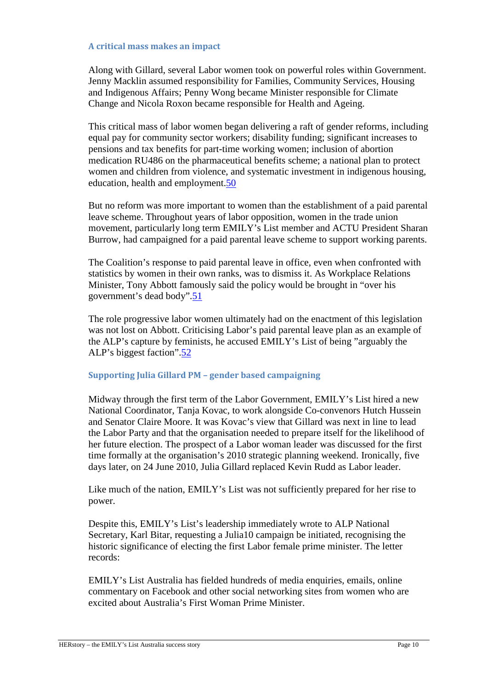#### **A critical mass makes an impact**

Along with Gillard, several Labor women took on powerful roles within Government. Jenny Macklin assumed responsibility for Families, Community Services, Housing and Indigenous Affairs; Penny Wong became Minister responsible for Climate Change and Nicola Roxon became responsible for Health and Ageing.

This critical mass of labor women began delivering a raft of gender reforms, including equal pay for community sector workers; disability funding; significant increases to pensions and tax benefits for part-time working women; inclusion of abortion medication RU486 on the pharmaceutical benefits scheme; a national plan to protect women and children from violence, and systematic investment in indigenous housing, education, health and employment.50

But no reform was more important to women than the establishment of a paid parental leave scheme. Throughout years of labor opposition, women in the trade union movement, particularly long term EMILY's List member and ACTU President Sharan Burrow, had campaigned for a paid parental leave scheme to support working parents.

The Coalition's response to paid parental leave in office, even when confronted with statistics by women in their own ranks, was to dismiss it. As Workplace Relations Minister, Tony Abbott famously said the policy would be brought in "over his government's dead body".51

The role progressive labor women ultimately had on the enactment of this legislation was not lost on Abbott. Criticising Labor's paid parental leave plan as an example of the ALP's capture by feminists, he accused EMILY's List of being "arguably the ALP's biggest faction".52

## **Supporting Julia Gillard PM – gender based campaigning**

Midway through the first term of the Labor Government, EMILY's List hired a new National Coordinator, Tanja Kovac, to work alongside Co-convenors Hutch Hussein and Senator Claire Moore. It was Kovac's view that Gillard was next in line to lead the Labor Party and that the organisation needed to prepare itself for the likelihood of her future election. The prospect of a Labor woman leader was discussed for the first time formally at the organisation's 2010 strategic planning weekend. Ironically, five days later, on 24 June 2010, Julia Gillard replaced Kevin Rudd as Labor leader.

Like much of the nation, EMILY's List was not sufficiently prepared for her rise to power.

Despite this, EMILY's List's leadership immediately wrote to ALP National Secretary, Karl Bitar, requesting a Julia10 campaign be initiated, recognising the historic significance of electing the first Labor female prime minister. The letter records:

EMILY's List Australia has fielded hundreds of media enquiries, emails, online commentary on Facebook and other social networking sites from women who are excited about Australia's First Woman Prime Minister.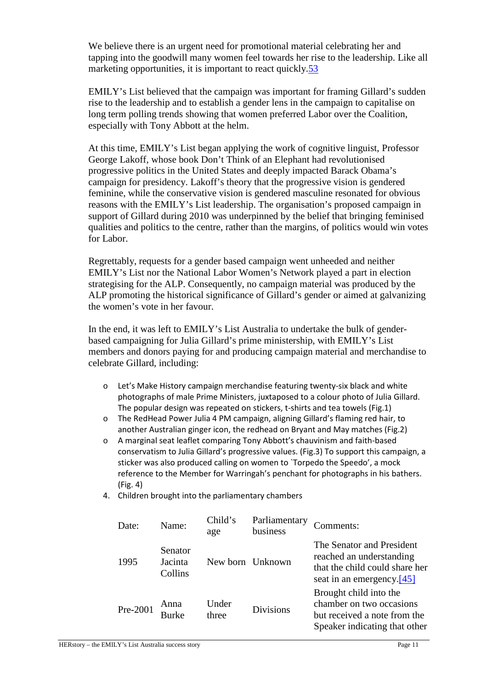We believe there is an urgent need for promotional material celebrating her and tapping into the goodwill many women feel towards her rise to the leadership. Like all marketing opportunities, it is important to react quickly.53

EMILY's List believed that the campaign was important for framing Gillard's sudden rise to the leadership and to establish a gender lens in the campaign to capitalise on long term polling trends showing that women preferred Labor over the Coalition, especially with Tony Abbott at the helm.

At this time, EMILY's List began applying the work of cognitive linguist, Professor George Lakoff, whose book Don't Think of an Elephant had revolutionised progressive politics in the United States and deeply impacted Barack Obama's campaign for presidency. Lakoff's theory that the progressive vision is gendered feminine, while the conservative vision is gendered masculine resonated for obvious reasons with the EMILY's List leadership. The organisation's proposed campaign in support of Gillard during 2010 was underpinned by the belief that bringing feminised qualities and politics to the centre, rather than the margins, of politics would win votes for Labor.

Regrettably, requests for a gender based campaign went unheeded and neither EMILY's List nor the National Labor Women's Network played a part in election strategising for the ALP. Consequently, no campaign material was produced by the ALP promoting the historical significance of Gillard's gender or aimed at galvanizing the women's vote in her favour.

In the end, it was left to EMILY's List Australia to undertake the bulk of genderbased campaigning for Julia Gillard's prime ministership, with EMILY's List members and donors paying for and producing campaign material and merchandise to celebrate Gillard, including:

- o Let's Make History campaign merchandise featuring twenty-six black and white photographs of male Prime Ministers, juxtaposed to a colour photo of Julia Gillard. The popular design was repeated on stickers, t-shirts and tea towels (Fig.1)
- o The RedHead Power Julia 4 PM campaign, aligning Gillard's flaming red hair, to another Australian ginger icon, the redhead on Bryant and May matches (Fig.2)
- o A marginal seat leaflet comparing Tony Abbott's chauvinism and faith-based conservatism to Julia Gillard's progressive values. (Fig.3) To support this campaign, a sticker was also produced calling on women to `Torpedo the Speedo', a mock reference to the Member for Warringah's penchant for photographs in his bathers. (Fig. 4)
- 4. Children brought into the parliamentary chambers

| Date:    | Name:                         | Child's<br>age | Parliamentary<br>business | Comments:                                                                                                               |
|----------|-------------------------------|----------------|---------------------------|-------------------------------------------------------------------------------------------------------------------------|
| 1995     | Senator<br>Jacinta<br>Collins |                | New born Unknown          | The Senator and President<br>reached an understanding<br>that the child could share her<br>seat in an emergency. $[45]$ |
| Pre-2001 | Anna<br><b>Burke</b>          | Under<br>three | <b>Divisions</b>          | Brought child into the<br>chamber on two occasions<br>but received a note from the<br>Speaker indicating that other     |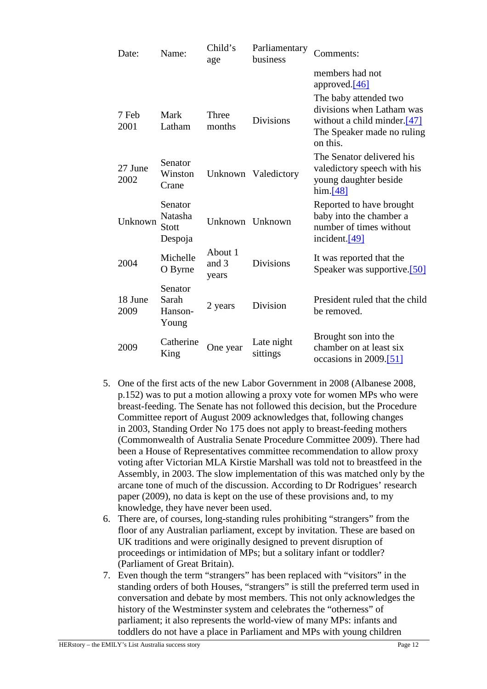| Date:           | Name:                                         | Child's<br>age            | Parliamentary<br>business | Comments:                                                                                                                      |
|-----------------|-----------------------------------------------|---------------------------|---------------------------|--------------------------------------------------------------------------------------------------------------------------------|
|                 |                                               |                           |                           | members had not<br>approved. <sup>[46]</sup>                                                                                   |
| 7 Feb<br>2001   | Mark<br>Latham                                | Three<br>months           | <b>Divisions</b>          | The baby attended two<br>divisions when Latham was<br>without a child minder. $[47]$<br>The Speaker made no ruling<br>on this. |
| 27 June<br>2002 | Senator<br>Winston<br>Crane                   |                           | Unknown Valedictory       | The Senator delivered his<br>valedictory speech with his<br>young daughter beside<br>him.[48]                                  |
| Unknown         | Senator<br>Natasha<br><b>Stott</b><br>Despoja | Unknown Unknown           |                           | Reported to have brought<br>baby into the chamber a<br>number of times without<br>incident. $[49]$                             |
| 2004            | Michelle<br>O Byrne                           | About 1<br>and 3<br>years | <b>Divisions</b>          | It was reported that the<br>Speaker was supportive.[50]                                                                        |
| 18 June<br>2009 | Senator<br>Sarah<br>Hanson-<br>Young          | 2 years                   | Division                  | President ruled that the child<br>be removed.                                                                                  |
| 2009            | Catherine<br>King                             | One year                  | Late night<br>sittings    | Brought son into the<br>chamber on at least six<br>occasions in $2009$ . [51]                                                  |

- 5. One of the first acts of the new Labor Government in 2008 (Albanese 2008, p.152) was to put a motion allowing a proxy vote for women MPs who were breast-feeding. The Senate has not followed this decision, but the Procedure Committee report of August 2009 acknowledges that, following changes in 2003, Standing Order No 175 does not apply to breast-feeding mothers (Commonwealth of Australia Senate Procedure Committee 2009). There had been a House of Representatives committee recommendation to allow proxy voting after Victorian MLA Kirstie Marshall was told not to breastfeed in the Assembly, in 2003. The slow implementation of this was matched only by the arcane tone of much of the discussion. According to Dr Rodrigues' research paper (2009), no data is kept on the use of these provisions and, to my knowledge, they have never been used.
- 6. There are, of courses, long-standing rules prohibiting "strangers" from the floor of any Australian parliament, except by invitation. These are based on UK traditions and were originally designed to prevent disruption of proceedings or intimidation of MPs; but a solitary infant or toddler? (Parliament of Great Britain).
- 7. Even though the term "strangers" has been replaced with "visitors" in the standing orders of both Houses, "strangers" is still the preferred term used in conversation and debate by most members. This not only acknowledges the history of the Westminster system and celebrates the "otherness" of parliament; it also represents the world-view of many MPs: infants and toddlers do not have a place in Parliament and MPs with young children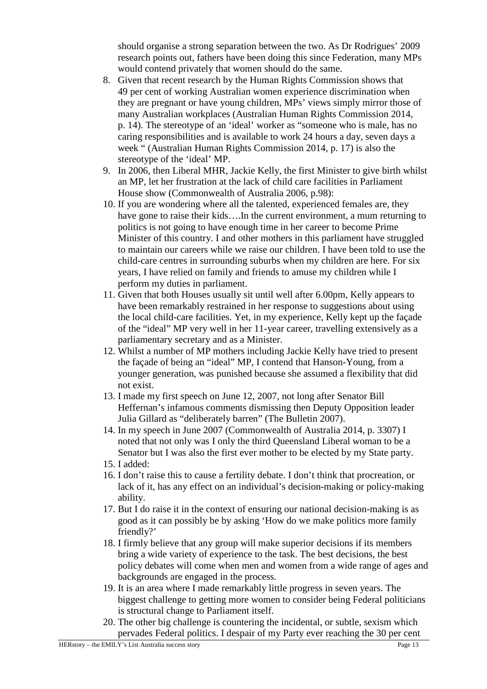should organise a strong separation between the two. As Dr Rodrigues' 2009 research points out, fathers have been doing this since Federation, many MPs would contend privately that women should do the same.

- 8. Given that recent research by the Human Rights Commission shows that 49 per cent of working Australian women experience discrimination when they are pregnant or have young children, MPs' views simply mirror those of many Australian workplaces (Australian Human Rights Commission 2014, p. 14). The stereotype of an 'ideal' worker as "someone who is male, has no caring responsibilities and is available to work 24 hours a day, seven days a week " (Australian Human Rights Commission 2014, p. 17) is also the stereotype of the 'ideal' MP.
- 9. In 2006, then Liberal MHR, Jackie Kelly, the first Minister to give birth whilst an MP, let her frustration at the lack of child care facilities in Parliament House show (Commonwealth of Australia 2006, p.98):
- 10. If you are wondering where all the talented, experienced females are, they have gone to raise their kids....In the current environment, a mum returning to politics is not going to have enough time in her career to become Prime Minister of this country. I and other mothers in this parliament have struggled to maintain our careers while we raise our children. I have been told to use the child-care centres in surrounding suburbs when my children are here. For six years, I have relied on family and friends to amuse my children while I perform my duties in parliament.
- 11. Given that both Houses usually sit until well after 6.00pm, Kelly appears to have been remarkably restrained in her response to suggestions about using the local child-care facilities. Yet, in my experience, Kelly kept up the façade of the "ideal" MP very well in her 11-year career, travelling extensively as a parliamentary secretary and as a Minister.
- 12. Whilst a number of MP mothers including Jackie Kelly have tried to present the façade of being an "ideal" MP, I contend that Hanson-Young, from a younger generation, was punished because she assumed a flexibility that did not exist.
- 13. I made my first speech on June 12, 2007, not long after Senator Bill Heffernan's infamous comments dismissing then Deputy Opposition leader Julia Gillard as "deliberately barren" (The Bulletin 2007).
- 14. In my speech in June 2007 (Commonwealth of Australia 2014, p. 3307) I noted that not only was I only the third Queensland Liberal woman to be a Senator but I was also the first ever mother to be elected by my State party.
- 15. I added:
- 16. I don't raise this to cause a fertility debate. I don't think that procreation, or lack of it, has any effect on an individual's decision-making or policy-making ability.
- 17. But I do raise it in the context of ensuring our national decision-making is as good as it can possibly be by asking 'How do we make politics more family friendly?'
- 18. I firmly believe that any group will make superior decisions if its members bring a wide variety of experience to the task. The best decisions, the best policy debates will come when men and women from a wide range of ages and backgrounds are engaged in the process.
- 19. It is an area where I made remarkably little progress in seven years. The biggest challenge to getting more women to consider being Federal politicians is structural change to Parliament itself.
- 20. The other big challenge is countering the incidental, or subtle, sexism which pervades Federal politics. I despair of my Party ever reaching the 30 per cent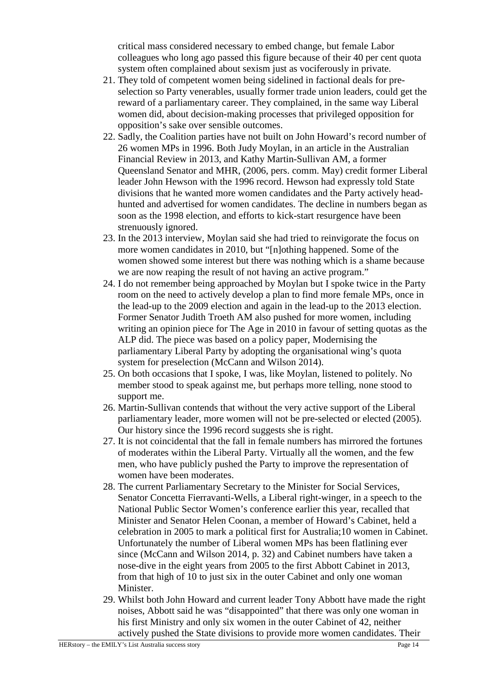critical mass considered necessary to embed change, but female Labor colleagues who long ago passed this figure because of their 40 per cent quota system often complained about sexism just as vociferously in private.

- 21. They told of competent women being sidelined in factional deals for preselection so Party venerables, usually former trade union leaders, could get the reward of a parliamentary career. They complained, in the same way Liberal women did, about decision-making processes that privileged opposition for opposition's sake over sensible outcomes.
- 22. Sadly, the Coalition parties have not built on John Howard's record number of 26 women MPs in 1996. Both Judy Moylan, in an article in the Australian Financial Review in 2013, and Kathy Martin-Sullivan AM, a former Queensland Senator and MHR, (2006, pers. comm. May) credit former Liberal leader John Hewson with the 1996 record. Hewson had expressly told State divisions that he wanted more women candidates and the Party actively headhunted and advertised for women candidates. The decline in numbers began as soon as the 1998 election, and efforts to kick-start resurgence have been strenuously ignored.
- 23. In the 2013 interview, Moylan said she had tried to reinvigorate the focus on more women candidates in 2010, but "[n]othing happened. Some of the women showed some interest but there was nothing which is a shame because we are now reaping the result of not having an active program."
- 24. I do not remember being approached by Moylan but I spoke twice in the Party room on the need to actively develop a plan to find more female MPs, once in the lead-up to the 2009 election and again in the lead-up to the 2013 election. Former Senator Judith Troeth AM also pushed for more women, including writing an opinion piece for The Age in 2010 in favour of setting quotas as the ALP did. The piece was based on a policy paper, Modernising the parliamentary Liberal Party by adopting the organisational wing's quota system for preselection (McCann and Wilson 2014).
- 25. On both occasions that I spoke, I was, like Moylan, listened to politely. No member stood to speak against me, but perhaps more telling, none stood to support me.
- 26. Martin-Sullivan contends that without the very active support of the Liberal parliamentary leader, more women will not be pre-selected or elected (2005). Our history since the 1996 record suggests she is right.
- 27. It is not coincidental that the fall in female numbers has mirrored the fortunes of moderates within the Liberal Party. Virtually all the women, and the few men, who have publicly pushed the Party to improve the representation of women have been moderates.
- 28. The current Parliamentary Secretary to the Minister for Social Services, Senator Concetta Fierravanti-Wells, a Liberal right-winger, in a speech to the National Public Sector Women's conference earlier this year, recalled that Minister and Senator Helen Coonan, a member of Howard's Cabinet, held a celebration in 2005 to mark a political first for Australia;10 women in Cabinet. Unfortunately the number of Liberal women MPs has been flatlining ever since (McCann and Wilson 2014, p. 32) and Cabinet numbers have taken a nose-dive in the eight years from 2005 to the first Abbott Cabinet in 2013, from that high of 10 to just six in the outer Cabinet and only one woman Minister.
- 29. Whilst both John Howard and current leader Tony Abbott have made the right noises, Abbott said he was "disappointed" that there was only one woman in his first Ministry and only six women in the outer Cabinet of 42, neither actively pushed the State divisions to provide more women candidates. Their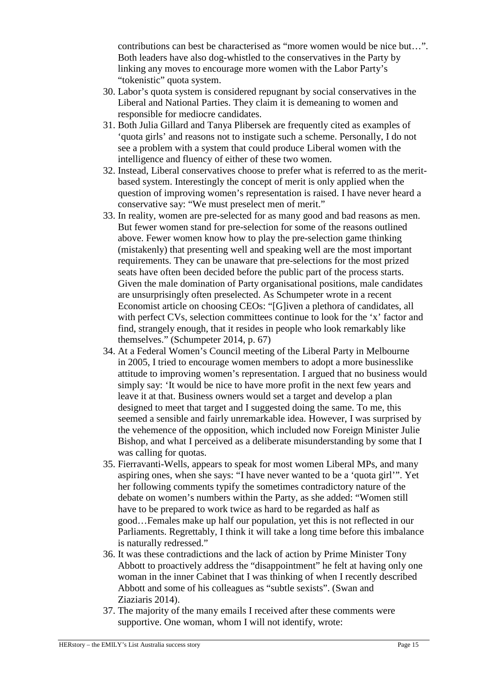contributions can best be characterised as "more women would be nice but…". Both leaders have also dog-whistled to the conservatives in the Party by linking any moves to encourage more women with the Labor Party's "tokenistic" quota system.

- 30. Labor's quota system is considered repugnant by social conservatives in the Liberal and National Parties. They claim it is demeaning to women and responsible for mediocre candidates.
- 31. Both Julia Gillard and Tanya Plibersek are frequently cited as examples of 'quota girls' and reasons not to instigate such a scheme. Personally, I do not see a problem with a system that could produce Liberal women with the intelligence and fluency of either of these two women.
- 32. Instead, Liberal conservatives choose to prefer what is referred to as the meritbased system. Interestingly the concept of merit is only applied when the question of improving women's representation is raised. I have never heard a conservative say: "We must preselect men of merit."
- 33. In reality, women are pre-selected for as many good and bad reasons as men. But fewer women stand for pre-selection for some of the reasons outlined above. Fewer women know how to play the pre-selection game thinking (mistakenly) that presenting well and speaking well are the most important requirements. They can be unaware that pre-selections for the most prized seats have often been decided before the public part of the process starts. Given the male domination of Party organisational positions, male candidates are unsurprisingly often preselected. As Schumpeter wrote in a recent Economist article on choosing CEOs: "[G]iven a plethora of candidates, all with perfect CVs, selection committees continue to look for the 'x' factor and find, strangely enough, that it resides in people who look remarkably like themselves." (Schumpeter 2014, p. 67)
- 34. At a Federal Women's Council meeting of the Liberal Party in Melbourne in 2005, I tried to encourage women members to adopt a more businesslike attitude to improving women's representation. I argued that no business would simply say: 'It would be nice to have more profit in the next few years and leave it at that. Business owners would set a target and develop a plan designed to meet that target and I suggested doing the same. To me, this seemed a sensible and fairly unremarkable idea. However, I was surprised by the vehemence of the opposition, which included now Foreign Minister Julie Bishop, and what I perceived as a deliberate misunderstanding by some that I was calling for quotas.
- 35. Fierravanti-Wells, appears to speak for most women Liberal MPs, and many aspiring ones, when she says: "I have never wanted to be a 'quota girl'". Yet her following comments typify the sometimes contradictory nature of the debate on women's numbers within the Party, as she added: "Women still have to be prepared to work twice as hard to be regarded as half as good…Females make up half our population, yet this is not reflected in our Parliaments. Regrettably, I think it will take a long time before this imbalance is naturally redressed."
- 36. It was these contradictions and the lack of action by Prime Minister Tony Abbott to proactively address the "disappointment" he felt at having only one woman in the inner Cabinet that I was thinking of when I recently described Abbott and some of his colleagues as "subtle sexists". (Swan and Ziaziaris 2014).
- 37. The majority of the many emails I received after these comments were supportive. One woman, whom I will not identify, wrote: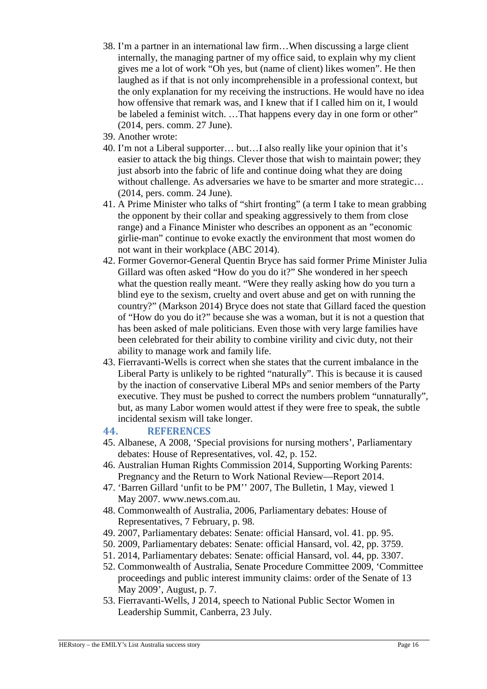- 38. I'm a partner in an international law firm…When discussing a large client internally, the managing partner of my office said, to explain why my client gives me a lot of work "Oh yes, but (name of client) likes women". He then laughed as if that is not only incomprehensible in a professional context, but the only explanation for my receiving the instructions. He would have no idea how offensive that remark was, and I knew that if I called him on it, I would be labeled a feminist witch. …That happens every day in one form or other" (2014, pers. comm. 27 June).
- 39. Another wrote:
- 40. I'm not a Liberal supporter… but…I also really like your opinion that it's easier to attack the big things. Clever those that wish to maintain power; they just absorb into the fabric of life and continue doing what they are doing without challenge. As adversaries we have to be smarter and more strategic... (2014, pers. comm. 24 June).
- 41. A Prime Minister who talks of "shirt fronting" (a term I take to mean grabbing the opponent by their collar and speaking aggressively to them from close range) and a Finance Minister who describes an opponent as an "economic girlie-man" continue to evoke exactly the environment that most women do not want in their workplace (ABC 2014).
- 42. Former Governor-General Quentin Bryce has said former Prime Minister Julia Gillard was often asked "How do you do it?" She wondered in her speech what the question really meant. "Were they really asking how do you turn a blind eye to the sexism, cruelty and overt abuse and get on with running the country?" (Markson 2014) Bryce does not state that Gillard faced the question of "How do you do it?" because she was a woman, but it is not a question that has been asked of male politicians. Even those with very large families have been celebrated for their ability to combine virility and civic duty, not their ability to manage work and family life.
- 43. Fierravanti-Wells is correct when she states that the current imbalance in the Liberal Party is unlikely to be righted "naturally". This is because it is caused by the inaction of conservative Liberal MPs and senior members of the Party executive. They must be pushed to correct the numbers problem "unnaturally", but, as many Labor women would attest if they were free to speak, the subtle incidental sexism will take longer.

# **44. REFERENCES**

- 45. Albanese, A 2008, 'Special provisions for nursing mothers', Parliamentary debates: House of Representatives, vol. 42, p. 152.
- 46. Australian Human Rights Commission 2014, Supporting Working Parents: Pregnancy and the Return to Work National Review—Report 2014.
- 47. 'Barren Gillard 'unfit to be PM'' 2007, The Bulletin, 1 May, viewed 1 May 2007. www.news.com.au.
- 48. Commonwealth of Australia, 2006, Parliamentary debates: House of Representatives, 7 February, p. 98.
- 49. 2007, Parliamentary debates: Senate: official Hansard, vol. 41. pp. 95.
- 50. 2009, Parliamentary debates: Senate: official Hansard, vol. 42, pp. 3759.
- 51. 2014, Parliamentary debates: Senate: official Hansard, vol. 44, pp. 3307.
- 52. Commonwealth of Australia, Senate Procedure Committee 2009, 'Committee proceedings and public interest immunity claims: order of the Senate of 13 May 2009', August, p. 7.
- 53. Fierravanti-Wells, J 2014, speech to National Public Sector Women in Leadership Summit, Canberra, 23 July.